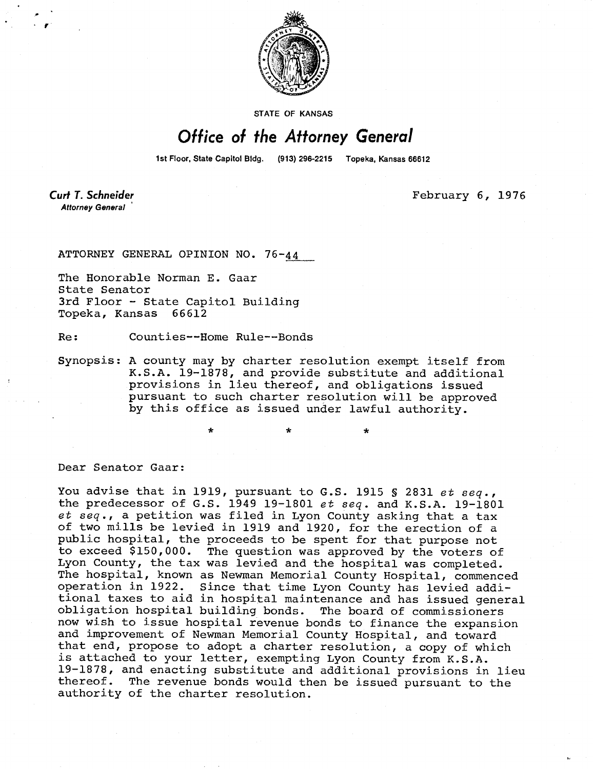

**STATE OF KANSAS** 

## Office of the Attorney General

1st Floor, State Capitol Bldg. (913) 296-2215 Topeka, Kansas 66612

**Curt T. Schneider Attorney General** 

February 6, 1976

ATTORNEY GENERAL OPINION NO. 76-44

The Honorable Norman E. Gaar State Senator 3rd Floor - State Capitol Building Topeka, Kansas 66612

Re: Counties--Home Rule--Bonds

Synopsis: A county may by charter resolution exempt itself from K.S.A. 19-1878, and provide substitute and additional provisions in lieu thereof, and obligations issued pursuant to such charter resolution will be approved by this office as issued under lawful authority.

Dear Senator Gaar:

You advise that in 1919, pursuant to G.S. 1915 § 2831 et seq., the predecessor of G.S. 1949 19-1801 et seq. and K.S.A. 19-1801 et seq., a petition was filed in Lyon County asking that a tax of two mills be levied in 1919 and 1920, for the erection of a public hospital, the proceeds to be spent for that purpose not to exceed \$150,000. The question was approved by the voters of Lyon County, the tax was levied and the hospital was completed. The hospital, known as Newman Memorial County Hospital, commenced operation in 1922. Since that time Lyon County has levied additional taxes to aid in hospital maintenance and has issued general obligation hospital building bonds. The board of commissioners now wish to issue hospital revenue bonds to finance the expansion and improvement of Newman Memorial County Hospital, and toward that end, propose to adopt a charter resolution, a copy of which is attached to your letter, exempting Lyon County from K.S.A. 19-1878, and enacting substitute and additional provisions in lieu thereof. The revenue bonds would then be issued pursuant to the authority of the charter resolution.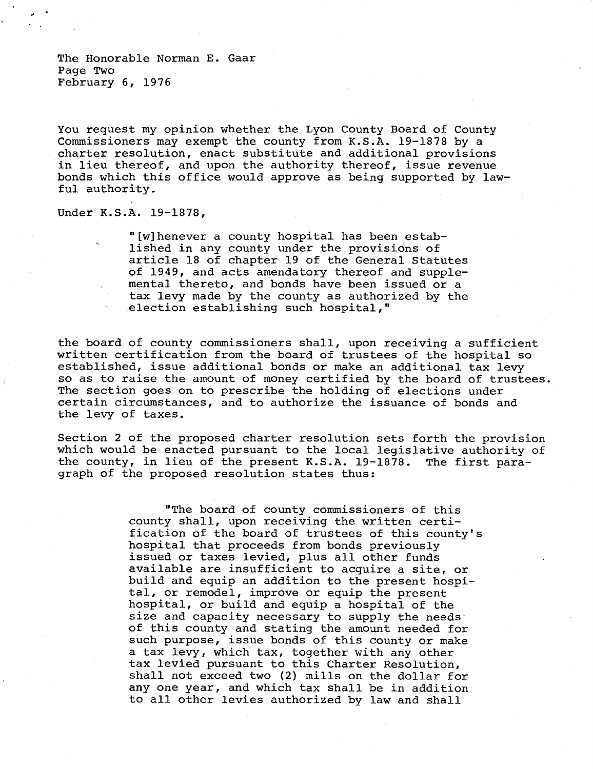The Honorable Norman E. Gaar Page Two February 6, 1976

You request my opinion whether the Lyon County Board of County Commissioners may exempt the county from K.S.A. 19-1878 by a charter resolution, enact substitute and additional provisions in lieu thereof, and upon the authority thereof, issue revenue bonds which this office would approve as being supported by lawful authority.

Under K.S.A. 19-1878,

"[w]henever a county hospital has been established in any county under the provisions of article 18 of chapter 19 of the General Statutes of 1949, and acts amendatory thereof and supplemental thereto, and bonds have been issued or a tax levy made by the county as authorized by the election establishing such hospital,"

the board of county commissioners shall, upon receiving a sufficient written certification from the board of trustees of the hospital so established, issue additional bonds or make an additional tax levy so as to raise the amount of money certified by the board of trustees. The section goes on to prescribe the holding of elections under certain circumstances, and to authorize the issuance of bonds and the levy of taxes.

Section 2 of the proposed charter resolution sets forth the provision which would be enacted pursuant to the local legislative authority of the county, in lieu of the present K.S.A. 19-1878. The first paragraph of the proposed resolution states thus:

> "The board of county commissioners of this county shall, upon receiving the written certification of the board of trustees of this county's hospital that proceeds from bonds previously issued or taxes levied, plus all other funds available are insufficient to acquire a site, or build and equip an addition to the present hospital, or remodel, improve or equip the present hospital, or build and equip a hospital of the size and capacity necessary to supply the needs of this county and stating the amount needed for such purpose, issue bonds of this county or make a tax levy, which tax, together with any other tax levied pursuant to this Charter Resolution, shall not exceed two (2) mills on the dollar for any one year, and which tax shall be in addition to all other levies authorized by law and shall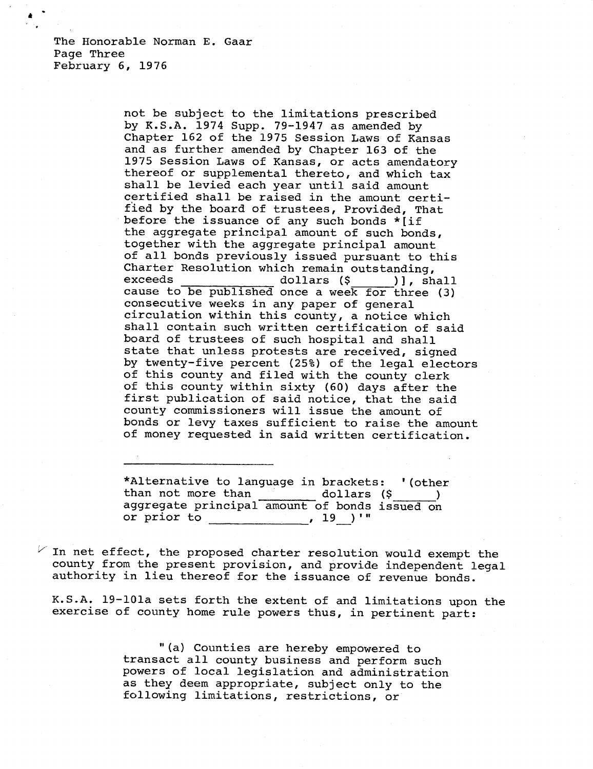The Honorable Norman E. Gaar Page Three February 6, 1976

> not be subject to the limitations prescribed by K.S.A. 1974 Supp. 79-1947 as amended by Chapter 162 of the 1975 Session Laws of Kansas and as further amended by Chapter 163 of the 1975 Session Laws of Kansas, or acts amendatory thereof or supplemental thereto, and which tax shall be levied each year until said amount certified shall be raised in the amount certified by the board of trustees, Provided, That before the issuance of any such bonds \*[if the aggregate principal amount of such bonds, together with the aggregate principal amount of all bonds previously issued pursuant to this Charter Resolution which remain outstanding,<br>exceeds dollars (\$ ) 1. sh exceeds dollars (\$ )], shall cause to be published once a week for three (3) consecutive weeks in any paper of general circulation within this county, a notice which shall contain such written certification of said board of trustees of such hospital and shall state that unless protests are received, signed by twenty-five percent (25%) of the legal electors of this county and filed with the county clerk of this county within sixty (60) days after the first publication of said notice, that the said county commissioners will issue the amount of bonds or levy taxes sufficient to raise the amount of money requested in said written certification.

\*Alternative to language in brackets: '(other than not more than dollars (\$  $\rightarrow$ aggregate principal amount of bonds issued on or prior to  $\frac{19}{19}$ , 19

 $V$  In net effect, the proposed charter resolution would exempt the county from the present provision, and provide independent legal authority in lieu thereof for the issuance of revenue bonds.

K.S.A. 19-101a sets forth the extent of and limitations upon the exercise of county home rule powers thus, in pertinent part:

> "(a) Counties are hereby empowered to transact all county business and perform such powers of local legislation and administration as they deem appropriate, subject only to the following limitations, restrictions, or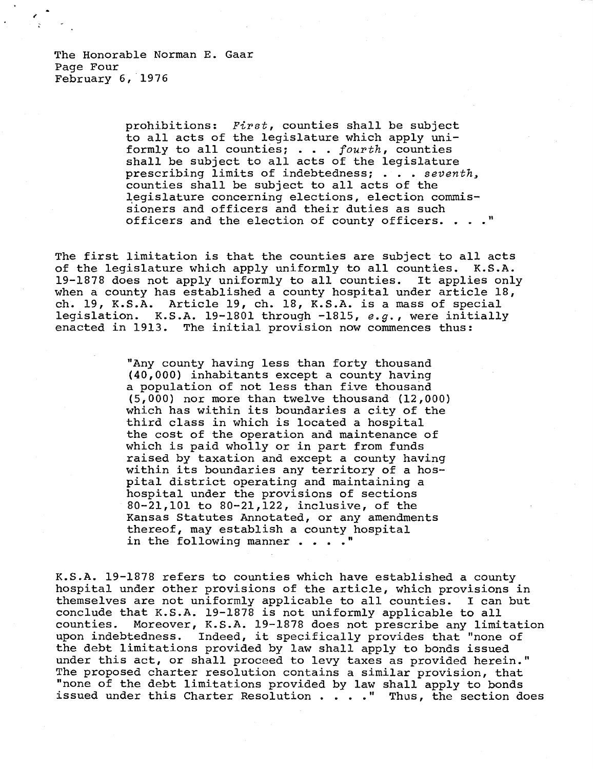prohibitions: First, counties shall be subject to all acts of the legislature which apply uniformly to all counties; . . . fourth, counties shall be subject to all acts of the legislature prescribing limits of indebtedness; . . . seventh, counties shall be subject to all acts of the legislature concerning elections, election commissioners and officers and their duties as such officers and the election of county officers. . . . "

The first limitation is that the counties are subject to all acts of the legislature which apply uniformly to all counties. K.S.A. 19-1878 does not apply uniformly to all counties. It applies only when a county has established a county hospital under article 18, ch. 19, K.S.A. Article 19, ch. 18, K.S.A. is a mass of special legislation. K.S.A. 19-1801 through -1815, e.g., were initially enacted in 1913. The initial provision now commences thus:

> "Any county having less than forty thousand (40,000) inhabitants except a county having a population of not less than five thousand (5,000) nor more than twelve thousand (12,000) which has within its boundaries a city of the third class in which is located a hospital the cost of the operation and maintenance of which is paid wholly or in part from funds raised by taxation and except a county having within its boundaries any territory of a hospital district operating and maintaining a hospital under the provisions of sections 80-21,101 to 80-21,122, inclusive, of the Kansas Statutes Annotated, or any amendments thereof, may establish a county hospital in the following manner . . . . "

K.S.A. 19-1878 refers to counties which have established a county hospital under other provisions of the article, which provisions in themselves are not uniformly applicable to all counties. I can but conclude that K.S.A. 19-1878 is not uniformly applicable to all counties. Moreover, K.S.A. 19-1878 does not prescribe any limitation upon indebtedness. Indeed, it specifically provides that "none of the debt limitations provided by law shall apply to bonds issued under this act, or shall proceed to levy taxes as provided herein." The proposed charter resolution contains a similar provision, that "none of the debt limitations provided by law shall apply to bonds issued under this Charter Resolution . . . . " Thus, the section does